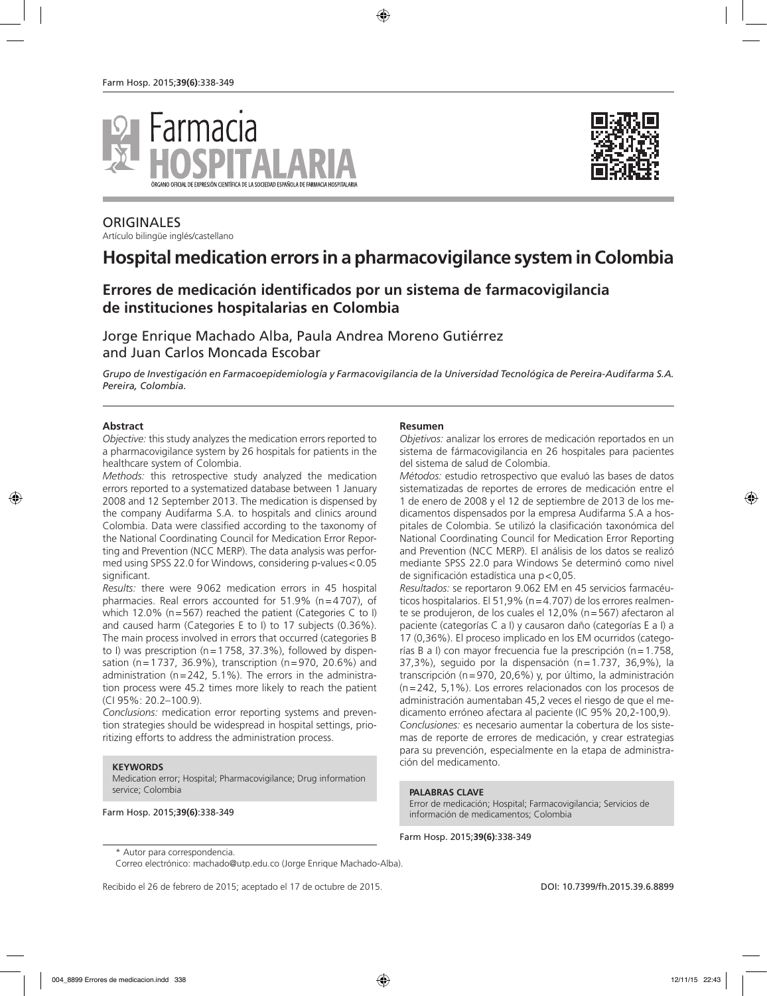



# ORIGINALES

Artículo bilingüe inglés/castellano

# **Hospital medication errors in a pharmacovigilance system in Colombia**

# **Errores de medicación identificados por un sistema de farmacovigilancia de instituciones hospitalarias en Colombia**

Jorge Enrique Machado Alba, Paula Andrea Moreno Gutiérrez and Juan Carlos Moncada Escobar

*Grupo de Investigación en Farmacoepidemiología y Farmacovigilancia de la Universidad Tecnológica de Pereira-Audifarma S.A. Pereira, Colombia.*

### **Abstract**

*Objective:* this study analyzes the medication errors reported to a pharmacovigilance system by 26 hospitals for patients in the healthcare system of Colombia.

*Methods:* this retrospective study analyzed the medication errors reported to a systematized database between 1 January 2008 and 12 September 2013. The medication is dispensed by the company Audifarma S.A. to hospitals and clinics around Colombia. Data were classified according to the taxonomy of the National Coordinating Council for Medication Error Reporting and Prevention (NCC MERP). The data analysis was performed using SPSS 22.0 for Windows, considering p-values<0.05 significant.

*Results:* there were 9062 medication errors in 45 hospital pharmacies. Real errors accounted for 51.9% (n=4707), of which 12.0% (n=567) reached the patient (Categories C to I) and caused harm (Categories E to I) to 17 subjects (0.36%). The main process involved in errors that occurred (categories B to I) was prescription ( $n=1758$ , 37.3%), followed by dispensation (n=1737, 36.9%), transcription (n=970, 20.6%) and administration ( $n=242$ , 5.1%). The errors in the administration process were 45.2 times more likely to reach the patient (CI 95%: 20.2–100.9).

*Conclusions:* medication error reporting systems and prevention strategies should be widespread in hospital settings, prioritizing efforts to address the administration process.

#### **KEYWORDS**

Medication error; Hospital; Pharmacovigilance; Drug information service; Colombia

### Farm Hosp. 2015;**39(6)**:338-349

### **Resumen**

*Objetivos:* analizar los errores de medicación reportados en un sistema de fármacovigilancia en 26 hospitales para pacientes del sistema de salud de Colombia.

*Métodos:* estudio retrospectivo que evaluó las bases de datos sistematizadas de reportes de errores de medicación entre el 1 de enero de 2008 y el 12 de septiembre de 2013 de los medicamentos dispensados por la empresa Audifarma S.A a hospitales de Colombia. Se utilizó la clasificación taxonómica del National Coordinating Council for Medication Error Reporting and Prevention (NCC MERP). El análisis de los datos se realizó mediante SPSS 22.0 para Windows Se determinó como nivel de significación estadística una p<0,05.

*Resultados:* se reportaron 9.062 EM en 45 servicios farmacéuticos hospitalarios. El 51,9% (n=4.707) de los errores realmente se produjeron, de los cuales el 12,0% (n=567) afectaron al paciente (categorías C a I) y causaron daño (categorías E a I) a 17 (0,36%). El proceso implicado en los EM ocurridos (categorías B a I) con mayor frecuencia fue la prescripción (n=1.758, 37,3%), seguido por la dispensación (n=1.737, 36,9%), la transcripción (n=970, 20,6%) y, por último, la administración (n=242, 5,1%). Los errores relacionados con los procesos de administración aumentaban 45,2 veces el riesgo de que el medicamento erróneo afectara al paciente (IC 95% 20,2-100,9). *Conclusiones:* es necesario aumentar la cobertura de los sistemas de reporte de errores de medicación, y crear estrategias para su prevención, especialmente en la etapa de administración del medicamento.

### **PALABRAS CLAVE**

Error de medicación; Hospital; Farmacovigilancia; Servicios de información de medicamentos; Colombia

Farm Hosp. 2015;**39(6)**:338-349

Correo electrónico: machado@utp.edu.co (Jorge Enrique Machado-Alba).

<sup>\*</sup> Autor para correspondencia.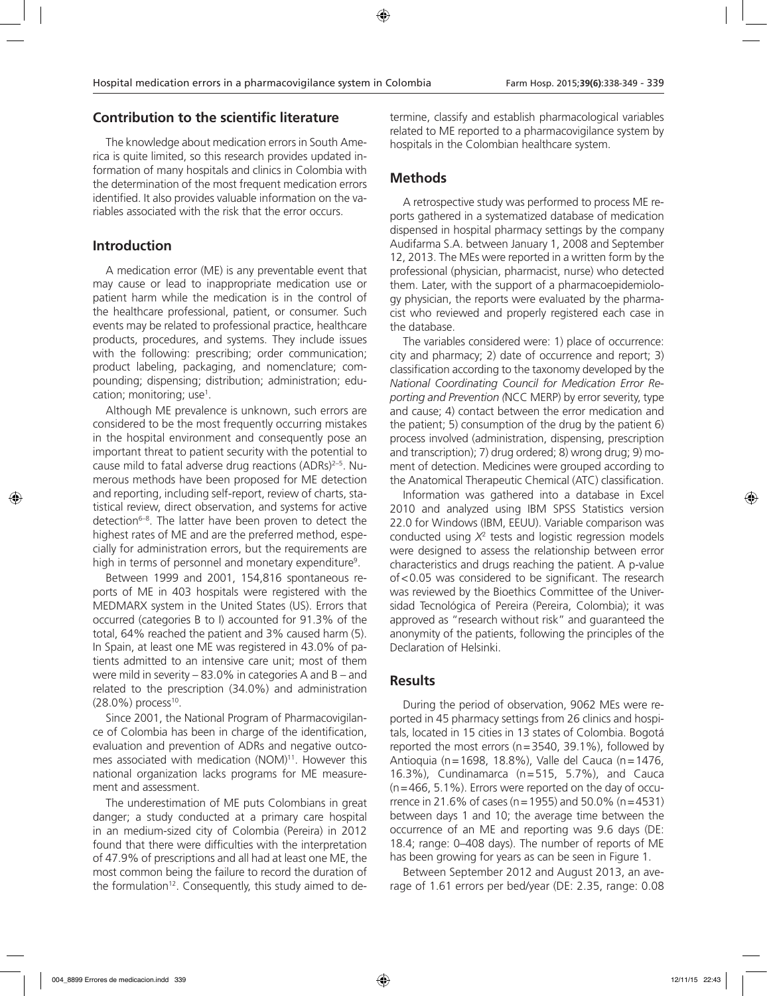### **Contribution to the scientific literature**

The knowledge about medication errors in South America is quite limited, so this research provides updated information of many hospitals and clinics in Colombia with the determination of the most frequent medication errors identified. It also provides valuable information on the variables associated with the risk that the error occurs.

### **Introduction**

A medication error (ME) is any preventable event that may cause or lead to inappropriate medication use or patient harm while the medication is in the control of the healthcare professional, patient, or consumer. Such events may be related to professional practice, healthcare products, procedures, and systems. They include issues with the following: prescribing; order communication; product labeling, packaging, and nomenclature; compounding; dispensing; distribution; administration; education; monitoring; use<sup>1</sup>.

Although ME prevalence is unknown, such errors are considered to be the most frequently occurring mistakes in the hospital environment and consequently pose an important threat to patient security with the potential to cause mild to fatal adverse drug reactions (ADRs)2–5. Numerous methods have been proposed for ME detection and reporting, including self-report, review of charts, statistical review, direct observation, and systems for active detection<sup>6-8</sup>. The latter have been proven to detect the highest rates of ME and are the preferred method, especially for administration errors, but the requirements are high in terms of personnel and monetary expenditure<sup>9</sup>.

Between 1999 and 2001, 154,816 spontaneous reports of ME in 403 hospitals were registered with the MEDMARX system in the United States (US). Errors that occurred (categories B to I) accounted for 91.3% of the total, 64% reached the patient and 3% caused harm (5). In Spain, at least one ME was registered in 43.0% of patients admitted to an intensive care unit; most of them were mild in severity – 83.0% in categories A and B – and related to the prescription (34.0%) and administration  $(28.0\%)$  process<sup>10</sup>.

Since 2001, the National Program of Pharmacovigilance of Colombia has been in charge of the identification, evaluation and prevention of ADRs and negative outcomes associated with medication (NOM)<sup>11</sup>. However this national organization lacks programs for ME measurement and assessment.

The underestimation of ME puts Colombians in great danger; a study conducted at a primary care hospital in an medium-sized city of Colombia (Pereira) in 2012 found that there were difficulties with the interpretation of 47.9% of prescriptions and all had at least one ME, the most common being the failure to record the duration of the formulation<sup>12</sup>. Consequently, this study aimed to determine, classify and establish pharmacological variables related to ME reported to a pharmacovigilance system by hospitals in the Colombian healthcare system.

# **Methods**

A retrospective study was performed to process ME reports gathered in a systematized database of medication dispensed in hospital pharmacy settings by the company Audifarma S.A. between January 1, 2008 and September 12, 2013. The MEs were reported in a written form by the professional (physician, pharmacist, nurse) who detected them. Later, with the support of a pharmacoepidemiology physician, the reports were evaluated by the pharmacist who reviewed and properly registered each case in the database.

The variables considered were: 1) place of occurrence: city and pharmacy; 2) date of occurrence and report; 3) classification according to the taxonomy developed by the *National Coordinating Council for Medication Error Reporting and Prevention (*NCC MERP) by error severity, type and cause; 4) contact between the error medication and the patient; 5) consumption of the drug by the patient 6) process involved (administration, dispensing, prescription and transcription); 7) drug ordered; 8) wrong drug; 9) moment of detection. Medicines were grouped according to the Anatomical Therapeutic Chemical (ATC) classification.

Information was gathered into a database in Excel 2010 and analyzed using IBM SPSS Statistics version 22.0 for Windows (IBM, EEUU). Variable comparison was conducted using *X*<sup>2</sup> tests and logistic regression models were designed to assess the relationship between error characteristics and drugs reaching the patient. A p-value of<0.05 was considered to be significant. The research was reviewed by the Bioethics Committee of the Universidad Tecnológica of Pereira (Pereira, Colombia); it was approved as "research without risk" and guaranteed the anonymity of the patients, following the principles of the Declaration of Helsinki.

# **Results**

During the period of observation, 9062 MEs were reported in 45 pharmacy settings from 26 clinics and hospitals, located in 15 cities in 13 states of Colombia. Bogotá reported the most errors (n=3540, 39.1%), followed by Antioquia (n=1698, 18.8%), Valle del Cauca (n=1476, 16.3%), Cundinamarca (n=515, 5.7%), and Cauca  $(n=466, 5.1\%)$ . Errors were reported on the day of occurrence in 21.6% of cases (n=1955) and 50.0% (n=4531) between days 1 and 10; the average time between the occurrence of an ME and reporting was 9.6 days (DE: 18.4; range: 0–408 days). The number of reports of ME has been growing for years as can be seen in Figure 1.

Between September 2012 and August 2013, an average of 1.61 errors per bed/year (DE: 2.35, range: 0.08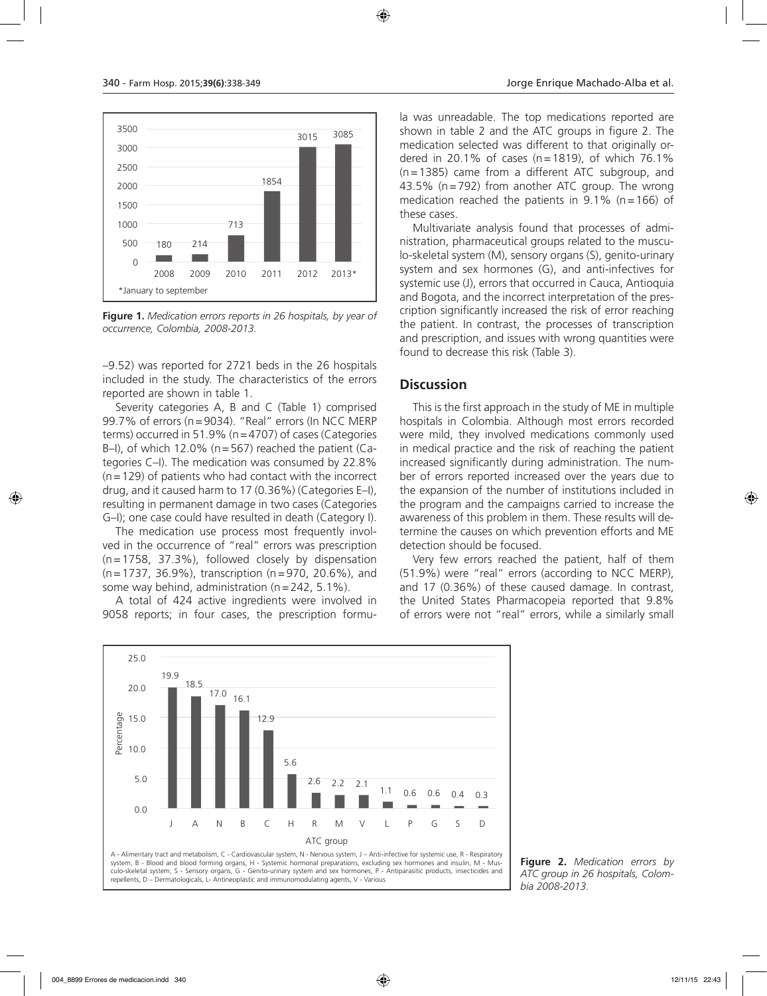

**Figure 1.** *Medication errors reports in 26 hospitals, by year of occurrence, Colombia, 2008-2013.*

–9.52) was reported for 2721 beds in the 26 hospitals included in the study. The characteristics of the errors reported are shown in table 1.

Severity categories A, B and C (Table 1) comprised 99.7% of errors (n=9034). "Real" errors (In NCC MERP terms) occurred in 51.9% (n=4707) of cases (Categories B–I), of which 12.0% ( $n=567$ ) reached the patient (Categories C–I). The medication was consumed by 22.8%  $(n=129)$  of patients who had contact with the incorrect drug, and it caused harm to 17 (0.36%) (Categories E–I), resulting in permanent damage in two cases (Categories G–I); one case could have resulted in death (Category I).

The medication use process most frequently involved in the occurrence of "real" errors was prescription (n=1758, 37.3%), followed closely by dispensation (n=1737, 36.9%), transcription (n=970, 20.6%), and some way behind, administration (n=242, 5.1%).

A total of 424 active ingredients were involved in 9058 reports; in four cases, the prescription formula was unreadable. The top medications reported are shown in table 2 and the ATC groups in figure 2. The medication selected was different to that originally ordered in 20.1% of cases ( $n=1819$ ), of which 76.1% (n=1385) came from a different ATC subgroup, and 43.5% (n=792) from another ATC group. The wrong medication reached the patients in  $9.1\%$  (n=166) of these cases.

Multivariate analysis found that processes of administration, pharmaceutical groups related to the musculo-skeletal system (M), sensory organs (S), genito-urinary system and sex hormones (G), and anti-infectives for systemic use (J), errors that occurred in Cauca, Antioquia and Bogota, and the incorrect interpretation of the prescription significantly increased the risk of error reaching the patient. In contrast, the processes of transcription and prescription, and issues with wrong quantities were found to decrease this risk (Table 3).

### **Discussion**

This is the first approach in the study of ME in multiple hospitals in Colombia. Although most errors recorded were mild, they involved medications commonly used in medical practice and the risk of reaching the patient increased significantly during administration. The number of errors reported increased over the years due to the expansion of the number of institutions included in the program and the campaigns carried to increase the awareness of this problem in them. These results will determine the causes on which prevention efforts and ME detection should be focused.

Very few errors reached the patient, half of them (51.9%) were "real" errors (according to NCC MERP), and 17 (0.36%) of these caused damage. In contrast, the United States Pharmacopeia reported that 9.8% of errors were not "real" errors, while a similarly small



**Figure 2.** *Medication errors by ATC group in 26 hospitals, Colombia 2008-2013.*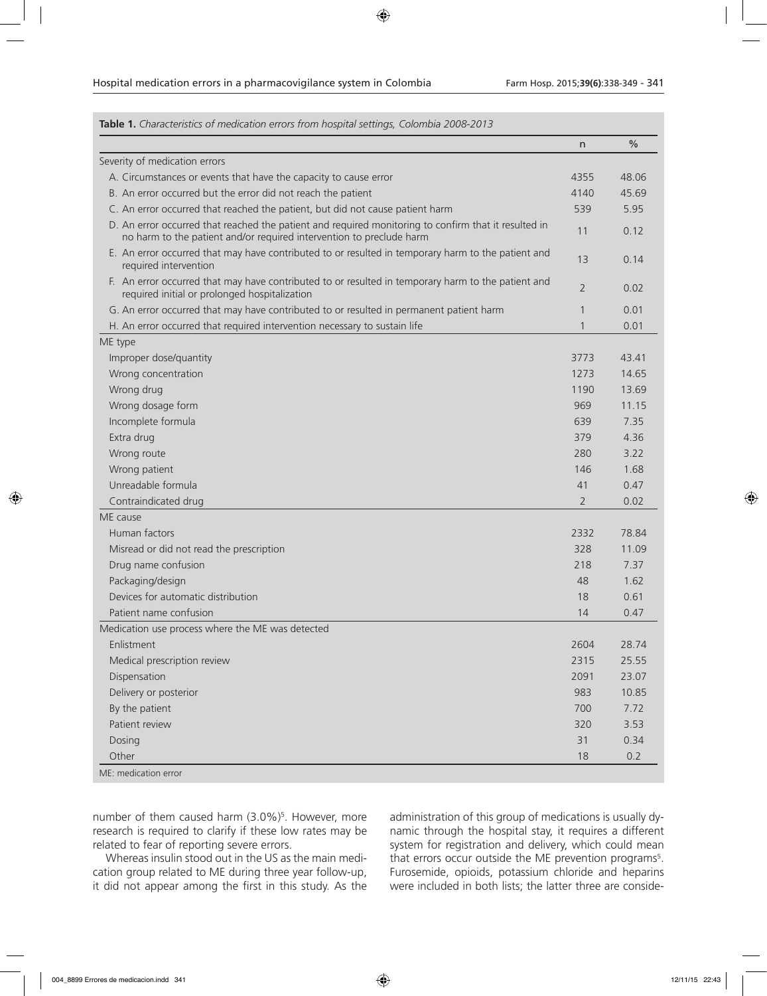| Table 1. Characteristics of medication errors from hospital settings, Colombia 2008-2013                                                                                     |                |               |
|------------------------------------------------------------------------------------------------------------------------------------------------------------------------------|----------------|---------------|
|                                                                                                                                                                              | $\mathsf{n}$   | $\frac{0}{0}$ |
| Severity of medication errors                                                                                                                                                |                |               |
| A. Circumstances or events that have the capacity to cause error                                                                                                             | 4355           | 48.06         |
| B. An error occurred but the error did not reach the patient                                                                                                                 | 4140           | 45.69         |
| C. An error occurred that reached the patient, but did not cause patient harm                                                                                                | 539            | 5.95          |
| D. An error occurred that reached the patient and required monitoring to confirm that it resulted in<br>no harm to the patient and/or required intervention to preclude harm | 11             | 0.12          |
| E. An error occurred that may have contributed to or resulted in temporary harm to the patient and<br>required intervention                                                  | 13             | 0.14          |
| F. An error occurred that may have contributed to or resulted in temporary harm to the patient and<br>required initial or prolonged hospitalization                          | 2              | 0.02          |
| G. An error occurred that may have contributed to or resulted in permanent patient harm                                                                                      | $\mathbf{1}$   | 0.01          |
| H. An error occurred that required intervention necessary to sustain life                                                                                                    | $\mathbf{1}$   | 0.01          |
| ME type                                                                                                                                                                      |                |               |
| Improper dose/quantity                                                                                                                                                       | 3773           | 43.41         |
| Wrong concentration                                                                                                                                                          | 1273           | 14.65         |
| Wrong drug                                                                                                                                                                   | 1190           | 13.69         |
| Wrong dosage form                                                                                                                                                            | 969            | 11.15         |
| Incomplete formula                                                                                                                                                           | 639            | 7.35          |
| Extra drug                                                                                                                                                                   | 379            | 4.36          |
| Wrong route                                                                                                                                                                  | 280            | 3.22          |
| Wrong patient                                                                                                                                                                | 146            | 1.68          |
| Unreadable formula                                                                                                                                                           | 41             | 0.47          |
| Contraindicated drug                                                                                                                                                         | $\overline{2}$ | 0.02          |
| ME cause                                                                                                                                                                     |                |               |
| Human factors                                                                                                                                                                | 2332           | 78.84         |
| Misread or did not read the prescription                                                                                                                                     | 328            | 11.09         |
| Drug name confusion                                                                                                                                                          | 218            | 7.37          |
| Packaging/design                                                                                                                                                             | 48             | 1.62          |
| Devices for automatic distribution                                                                                                                                           | 18             | 0.61          |
| Patient name confusion                                                                                                                                                       | 14             | 0.47          |
| Medication use process where the ME was detected                                                                                                                             |                |               |
| Enlistment                                                                                                                                                                   | 2604           | 28.74         |
| Medical prescription review                                                                                                                                                  | 2315           | 25.55         |
| Dispensation                                                                                                                                                                 | 2091           | 23.07         |
| Delivery or posterior                                                                                                                                                        | 983            | 10.85         |
| By the patient                                                                                                                                                               | 700            | 7.72          |
| Patient review                                                                                                                                                               | 320            | 3.53          |
| Dosing                                                                                                                                                                       | 31             | 0.34          |
| Other                                                                                                                                                                        | 18             | 0.2           |
| ME: medication error                                                                                                                                                         |                |               |

number of them caused harm (3.0%)<sup>5</sup>. However, more research is required to clarify if these low rates may be related to fear of reporting severe errors.

Whereas insulin stood out in the US as the main medication group related to ME during three year follow-up, it did not appear among the first in this study. As the

administration of this group of medications is usually dynamic through the hospital stay, it requires a different system for registration and delivery, which could mean that errors occur outside the ME prevention programs<sup>5</sup>. Furosemide, opioids, potassium chloride and heparins were included in both lists; the latter three are conside-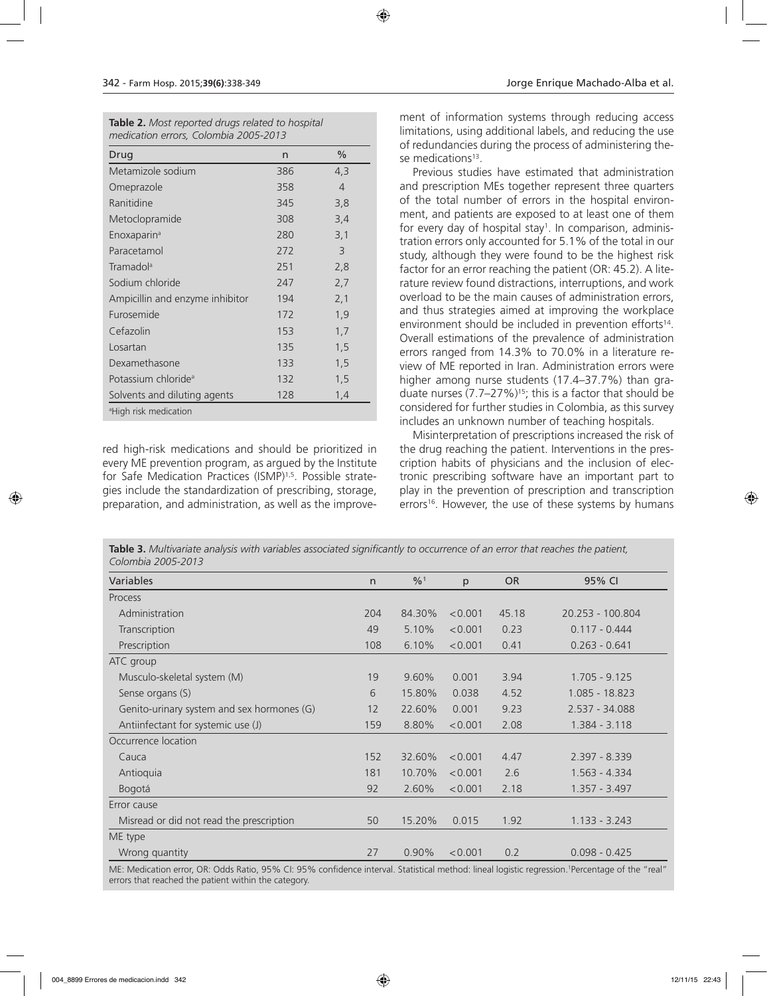|                                       | <b>Table 2.</b> Most reported drugs related to hospital |
|---------------------------------------|---------------------------------------------------------|
| medication errors, Colombia 2005-2013 |                                                         |

| Drug                              | n   | %              |
|-----------------------------------|-----|----------------|
| Metamizole sodium                 | 386 | 4,3            |
| Omeprazole                        | 358 | $\overline{4}$ |
| Ranitidine                        | 345 | 3,8            |
| Metoclopramide                    | 308 | 3,4            |
| Enoxaparin <sup>a</sup>           | 280 | 3,1            |
| Paracetamol                       | 272 | 3              |
| Tramadol <sup>a</sup>             | 251 | 2,8            |
| Sodium chloride                   | 247 | 2,7            |
| Ampicillin and enzyme inhibitor   | 194 | 2,1            |
| Furosemide                        | 172 | 1,9            |
| Cefazolin                         | 153 | 1,7            |
| Losartan                          | 135 | 1,5            |
| Dexamethasone                     | 133 | 1, 5           |
| Potassium chloride <sup>a</sup>   | 132 | 1,5            |
| Solvents and diluting agents      | 128 | 1,4            |
| <sup>a</sup> High risk medication |     |                |

red high-risk medications and should be prioritized in every ME prevention program, as argued by the Institute for Safe Medication Practices (ISMP)1,5. Possible strategies include the standardization of prescribing, storage, preparation, and administration, as well as the improvement of information systems through reducing access limitations, using additional labels, and reducing the use of redundancies during the process of administering these medications<sup>13</sup>.

Previous studies have estimated that administration and prescription MEs together represent three quarters of the total number of errors in the hospital environment, and patients are exposed to at least one of them for every day of hospital stay<sup>1</sup>. In comparison, administration errors only accounted for 5.1% of the total in our study, although they were found to be the highest risk factor for an error reaching the patient (OR: 45.2). A literature review found distractions, interruptions, and work overload to be the main causes of administration errors, and thus strategies aimed at improving the workplace environment should be included in prevention efforts<sup>14</sup>. Overall estimations of the prevalence of administration errors ranged from 14.3% to 70.0% in a literature review of ME reported in Iran. Administration errors were higher among nurse students (17.4–37.7%) than graduate nurses  $(7.7–27%)^{15}$ ; this is a factor that should be considered for further studies in Colombia, as this survey includes an unknown number of teaching hospitals.

Misinterpretation of prescriptions increased the risk of the drug reaching the patient. Interventions in the prescription habits of physicians and the inclusion of electronic prescribing software have an important part to play in the prevention of prescription and transcription errors<sup>16</sup>. However, the use of these systems by humans

**Table 3.** *Multivariate analysis with variables associated significantly to occurrence of an error that reaches the patient, Colombia 2005-2013*

| <b>Variables</b>                           | $\mathsf{n}$ | $\frac{9}{0}$ <sup>1</sup> | p       | <b>OR</b> | 95% CI           |
|--------------------------------------------|--------------|----------------------------|---------|-----------|------------------|
| Process                                    |              |                            |         |           |                  |
| Administration                             | 204          | 84.30%                     | < 0.001 | 45.18     | 20.253 - 100.804 |
| Transcription                              | 49           | 5.10%                      | < 0.001 | 0.23      | $0.117 - 0.444$  |
| Prescription                               | 108          | 6.10%                      | < 0.001 | 0.41      | $0.263 - 0.641$  |
| ATC group                                  |              |                            |         |           |                  |
| Musculo-skeletal system (M)                | 19           | 9.60%                      | 0.001   | 3.94      | $1.705 - 9.125$  |
| Sense organs (S)                           | 6            | 15.80%                     | 0.038   | 4.52      | 1.085 - 18.823   |
| Genito-urinary system and sex hormones (G) | 12           | 22.60%                     | 0.001   | 9.23      | 2.537 - 34.088   |
| Antiinfectant for systemic use (J)         | 159          | 8.80%                      | < 0.001 | 2.08      | $1.384 - 3.118$  |
| Occurrence location                        |              |                            |         |           |                  |
| Cauca                                      | 152          | 32.60%                     | < 0.001 | 4.47      | $2.397 - 8.339$  |
| Antioquia                                  | 181          | 10.70%                     | < 0.001 | 2.6       | $1.563 - 4.334$  |
| Bogotá                                     | 92           | 2.60%                      | < 0.001 | 2.18      | $1.357 - 3.497$  |
| Error cause                                |              |                            |         |           |                  |
| Misread or did not read the prescription   | 50           | 15.20%                     | 0.015   | 1.92      | $1.133 - 3.243$  |
| ME type                                    |              |                            |         |           |                  |
| Wrong quantity                             | 27           | 0.90%                      | < 0.001 | 0.2       | $0.098 - 0.425$  |
|                                            |              |                            |         |           |                  |

ME: Medication error, OR: Odds Ratio, 95% CI: 95% confidence interval. Statistical method: lineal logistic regression. Percentage of the "real" errors that reached the patient within the category.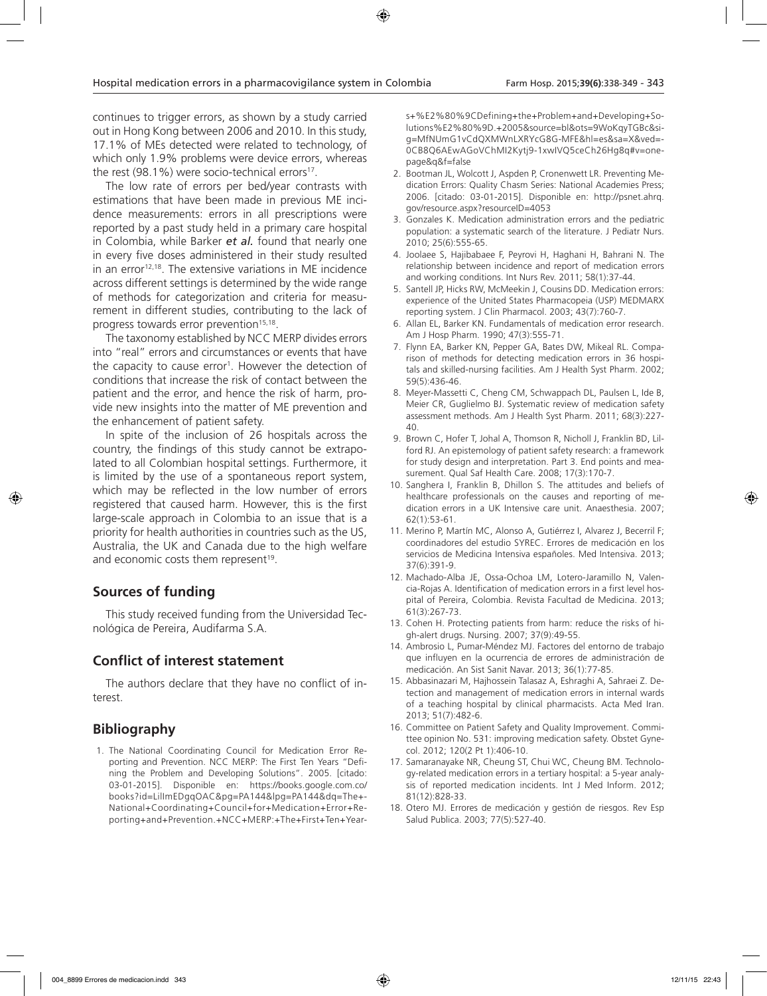continues to trigger errors, as shown by a study carried out in Hong Kong between 2006 and 2010. In this study, 17.1% of MEs detected were related to technology, of which only 1.9% problems were device errors, whereas the rest  $(98.1\%)$  were socio-technical errors<sup>17</sup>.

The low rate of errors per bed/year contrasts with estimations that have been made in previous ME incidence measurements: errors in all prescriptions were reported by a past study held in a primary care hospital in Colombia, while Barker *et al.* found that nearly one in every five doses administered in their study resulted in an error<sup>12,18</sup>. The extensive variations in ME incidence across different settings is determined by the wide range of methods for categorization and criteria for measurement in different studies, contributing to the lack of progress towards error prevention<sup>15,18</sup>.

The taxonomy established by NCC MERP divides errors into "real" errors and circumstances or events that have the capacity to cause error<sup>1</sup>. However the detection of conditions that increase the risk of contact between the patient and the error, and hence the risk of harm, provide new insights into the matter of ME prevention and the enhancement of patient safety.

In spite of the inclusion of 26 hospitals across the country, the findings of this study cannot be extrapolated to all Colombian hospital settings. Furthermore, it is limited by the use of a spontaneous report system, which may be reflected in the low number of errors registered that caused harm. However, this is the first large-scale approach in Colombia to an issue that is a priority for health authorities in countries such as the US, Australia, the UK and Canada due to the high welfare and economic costs them represent<sup>19</sup>.

### **Sources of funding**

This study received funding from the Universidad Tecnológica de Pereira, Audifarma S.A.

### **Conflict of interest statement**

The authors declare that they have no conflict of interest.

# **Bibliography**

1. The National Coordinating Council for Medication Error Reporting and Prevention. NCC MERP: The First Ten Years "Defining the Problem and Developing Solutions". 2005. [citado: 03-01-2015]. Disponible en: https://books.google.com.co/ books?id=LilImEDgqOAC&pg=PA144&lpg=PA144&dq=The+- National+Coordinating+Council+for+Medication+Error+Reporting+and+Prevention.+NCC+MERP:+The+First+Ten+Years+%E2%80%9CDefining+the+Problem+and+Developing+Solutions%E2%80%9D.+2005&source=bl&ots=9WoKqyTGBc&sig=MfNUmG1vCdQXMWnLXRYcG8G-MFE&hl=es&sa=X&ved=- 0CB8Q6AEwAGoVChMI2Kytj9-1xwIVQ5ceCh26Hg8q#v=onepage&q&f=false

- 2. Bootman JL, Wolcott J, Aspden P, Cronenwett LR. Preventing Medication Errors: Quality Chasm Series: National Academies Press; 2006. [citado: 03-01-2015]. Disponible en: http://psnet.ahrq. gov/resource.aspx?resourceID=4053
- 3. Gonzales K. Medication administration errors and the pediatric population: a systematic search of the literature. J Pediatr Nurs. 2010; 25(6):555-65.
- 4. Joolaee S, Hajibabaee F, Peyrovi H, Haghani H, Bahrani N. The relationship between incidence and report of medication errors and working conditions. Int Nurs Rev. 2011; 58(1):37-44.
- 5. Santell JP, Hicks RW, McMeekin J, Cousins DD. Medication errors: experience of the United States Pharmacopeia (USP) MEDMARX reporting system. J Clin Pharmacol. 2003; 43(7):760-7.
- 6. Allan EL, Barker KN. Fundamentals of medication error research. Am J Hosp Pharm. 1990; 47(3):555-71.
- 7. Flynn EA, Barker KN, Pepper GA, Bates DW, Mikeal RL. Comparison of methods for detecting medication errors in 36 hospitals and skilled-nursing facilities. Am J Health Syst Pharm. 2002; 59(5):436-46.
- 8. Meyer-Massetti C, Cheng CM, Schwappach DL, Paulsen L, Ide B, Meier CR, Guglielmo BJ. Systematic review of medication safety assessment methods. Am J Health Syst Pharm. 2011; 68(3):227- 40.
- 9. Brown C, Hofer T, Johal A, Thomson R, Nicholl J, Franklin BD, Lilford RJ. An epistemology of patient safety research: a framework for study design and interpretation. Part 3. End points and measurement. Qual Saf Health Care. 2008; 17(3):170-7.
- 10. Sanghera I, Franklin B, Dhillon S. The attitudes and beliefs of healthcare professionals on the causes and reporting of medication errors in a UK Intensive care unit. Anaesthesia. 2007; 62(1):53-61.
- 11. Merino P, Martín MC, Alonso A, Gutiérrez I, Alvarez J, Becerril F; coordinadores del estudio SYREC. Errores de medicación en los servicios de Medicina Intensiva españoles. Med Intensiva. 2013; 37(6):391-9.
- 12. Machado-Alba JE, Ossa-Ochoa LM, Lotero-Jaramillo N, Valencia-Rojas A. Identification of medication errors in a first level hospital of Pereira, Colombia. Revista Facultad de Medicina. 2013; 61(3):267-73.
- 13. Cohen H. Protecting patients from harm: reduce the risks of high-alert drugs. Nursing. 2007; 37(9):49-55.
- 14. Ambrosio L, Pumar-Méndez MJ. Factores del entorno de trabajo que influyen en la ocurrencia de errores de administración de medicación. An Sist Sanit Navar. 2013; 36(1):77-85.
- 15. Abbasinazari M, Hajhossein Talasaz A, Eshraghi A, Sahraei Z. Detection and management of medication errors in internal wards of a teaching hospital by clinical pharmacists. Acta Med Iran. 2013; 51(7):482-6.
- 16. Committee on Patient Safety and Quality Improvement. Committee opinion No. 531: improving medication safety. Obstet Gynecol. 2012; 120(2 Pt 1):406-10.
- 17. Samaranayake NR, Cheung ST, Chui WC, Cheung BM. Technology-related medication errors in a tertiary hospital: a 5-year analysis of reported medication incidents. Int J Med Inform. 2012; 81(12):828-33.
- 18. Otero MJ. Errores de medicación y gestión de riesgos. Rev Esp Salud Publica. 2003; 77(5):527-40.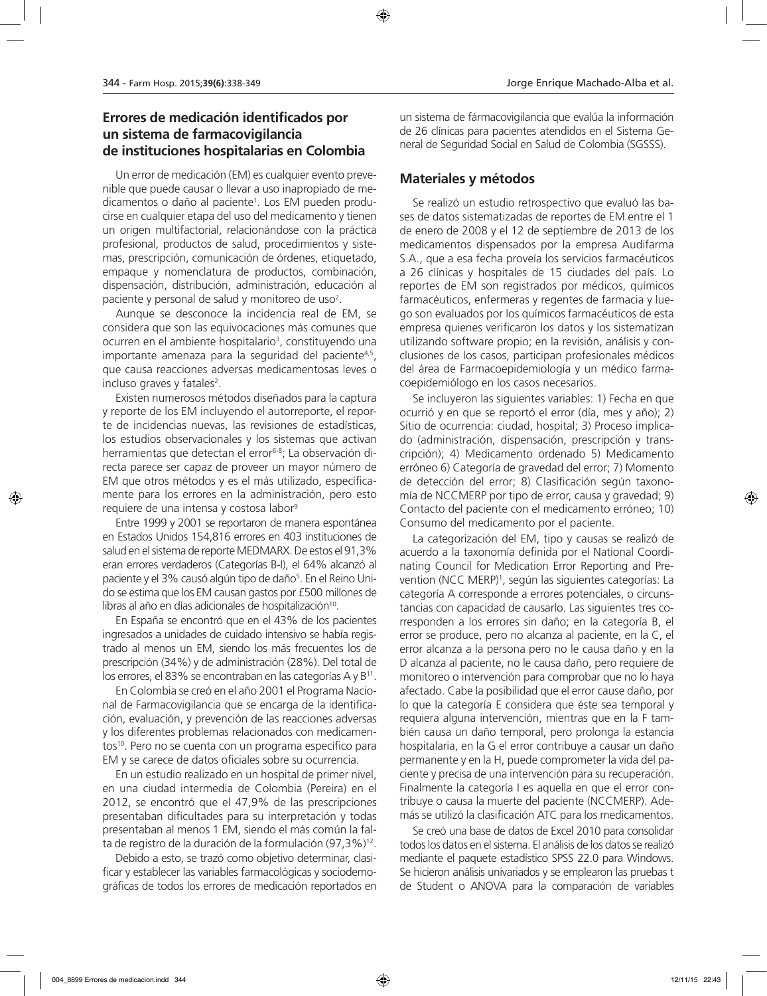### **Errores de medicación identificados por un sistema de farmacovigilancia de instituciones hospitalarias en Colombia**

Un error de medicación (EM) es cualquier evento prevenible que puede causar o llevar a uso inapropiado de medicamentos o daño al paciente1 . Los EM pueden producirse en cualquier etapa del uso del medicamento y tienen un origen multifactorial, relacionándose con la práctica profesional, productos de salud, procedimientos y sistemas, prescripción, comunicación de órdenes, etiquetado, empaque y nomenclatura de productos, combinación, dispensación, distribución, administración, educación al paciente y personal de salud y monitoreo de uso<sup>2</sup>.

Aunque se desconoce la incidencia real de EM, se considera que son las equivocaciones más comunes que ocurren en el ambiente hospitalario<sup>3</sup>, constituyendo una importante amenaza para la seguridad del paciente4,5 , que causa reacciones adversas medicamentosas leves o incluso graves y fatales<sup>2</sup>.

Existen numerosos métodos diseñados para la captura y reporte de los EM incluyendo el autorreporte, el reporte de incidencias nuevas, las revisiones de estadísticas, los estudios observacionales y los sistemas que activan herramientas que detectan el error<sup>6-8</sup>; La observación directa parece ser capaz de proveer un mayor número de EM que otros métodos y es el más utilizado, específicamente para los errores en la administración, pero esto requiere de una intensa y costosa labor 9

Entre 1999 y 2001 se reportaron de manera espontánea en Estados Unidos 154,816 errores en 403 instituciones de salud en el sistema de reporte MEDMARX. De estos el 91,3% eran errores verdaderos (Categorías B-I), el 64% alcanzó al paciente y el 3% causó algún tipo de daño<sup>5</sup>. En el Reino Unido se estima que los EM causan gastos por £500 millones de libras al año en días adicionales de hospitalización<sup>10</sup>.

En España se encontró que en el 43% de los pacientes ingresados a unidades de cuidado intensivo se había registrado al menos un EM, siendo los más frecuentes los de prescripción (34%) y de administración (28%). Del total de los errores, el 83% se encontraban en las categorías A y B11.

En Colombia se creó en el año 2001 el Programa Nacional de Farmacovigilancia que se encarga de la identificación, evaluación, y prevención de las reacciones adversas y los diferentes problemas relacionados con medicamentos<sup>10</sup>. Pero no se cuenta con un programa específico para EM y se carece de datos oficiales sobre su ocurrencia.

En un estudio realizado en un hospital de primer nivel, en una ciudad intermedia de Colombia (Pereira) en el 2012, se encontró que el 47,9% de las prescripciones presentaban dificultades para su interpretación y todas presentaban al menos 1 EM, siendo el más común la falta de registro de la duración de la formulación (97,3%)<sup>12</sup>.

Debido a esto, se trazó como objetivo determinar, clasificar y establecer las variables farmacológicas y sociodemográficas de todos los errores de medicación reportados en

un sistema de fármacovigilancia que evalúa la información de 26 clínicas para pacientes atendidos en el Sistema General de Seguridad Social en Salud de Colombia (SGSSS).

### **Materiales y métodos**

Se realizó un estudio retrospectivo que evaluó las bases de datos sistematizadas de reportes de EM entre el 1 de enero de 2008 y el 12 de septiembre de 2013 de los medicamentos dispensados por la empresa Audifarma S.A., que a esa fecha proveía los servicios farmacéuticos a 26 clínicas y hospitales de 15 ciudades del país. Lo reportes de EM son registrados por médicos, químicos farmacéuticos, enfermeras y regentes de farmacia y luego son evaluados por los químicos farmacéuticos de esta empresa quienes verificaron los datos y los sistematizan utilizando software propio; en la revisión, análisis y conclusiones de los casos, participan profesionales médicos del área de Farmacoepidemiología y un médico farmacoepidemiólogo en los casos necesarios.

Se incluyeron las siguientes variables: 1) Fecha en que ocurrió y en que se reportó el error (día, mes y año); 2) Sitio de ocurrencia: ciudad, hospital; 3) Proceso implicado (administración, dispensación, prescripción y transcripción); 4) Medicamento ordenado 5) Medicamento erróneo 6) Categoría de gravedad del error; 7) Momento de detección del error; 8) Clasificación según taxonomía de NCCMERP por tipo de error, causa y gravedad; 9) Contacto del paciente con el medicamento erróneo; 10) Consumo del medicamento por el paciente.

La categorización del EM, tipo y causas se realizó de acuerdo a la taxonomía definida por el National Coordinating Council for Medication Error Reporting and Prevention (NCC MERP)1 , según las siguientes categorías: La categoría A corresponde a errores potenciales, o circunstancias con capacidad de causarlo. Las siguientes tres corresponden a los errores sin daño; en la categoría B, el error se produce, pero no alcanza al paciente, en la C, el error alcanza a la persona pero no le causa daño y en la D alcanza al paciente, no le causa daño, pero requiere de monitoreo o intervención para comprobar que no lo haya afectado. Cabe la posibilidad que el error cause daño, por lo que la categoría E considera que éste sea temporal y requiera alguna intervención, mientras que en la F también causa un daño temporal, pero prolonga la estancia hospitalaria, en la G el error contribuye a causar un daño permanente y en la H, puede comprometer la vida del paciente y precisa de una intervención para su recuperación. Finalmente la categoría I es aquella en que el error contribuye o causa la muerte del paciente (NCCMERP). Además se utilizó la clasificación ATC para los medicamentos.

Se creó una base de datos de Excel 2010 para consolidar todos los datos en el sistema. El análisis de los datos se realizó mediante el paquete estadístico SPSS 22.0 para Windows. Se hicieron análisis univariados y se emplearon las pruebas t de Student o ANOVA para la comparación de variables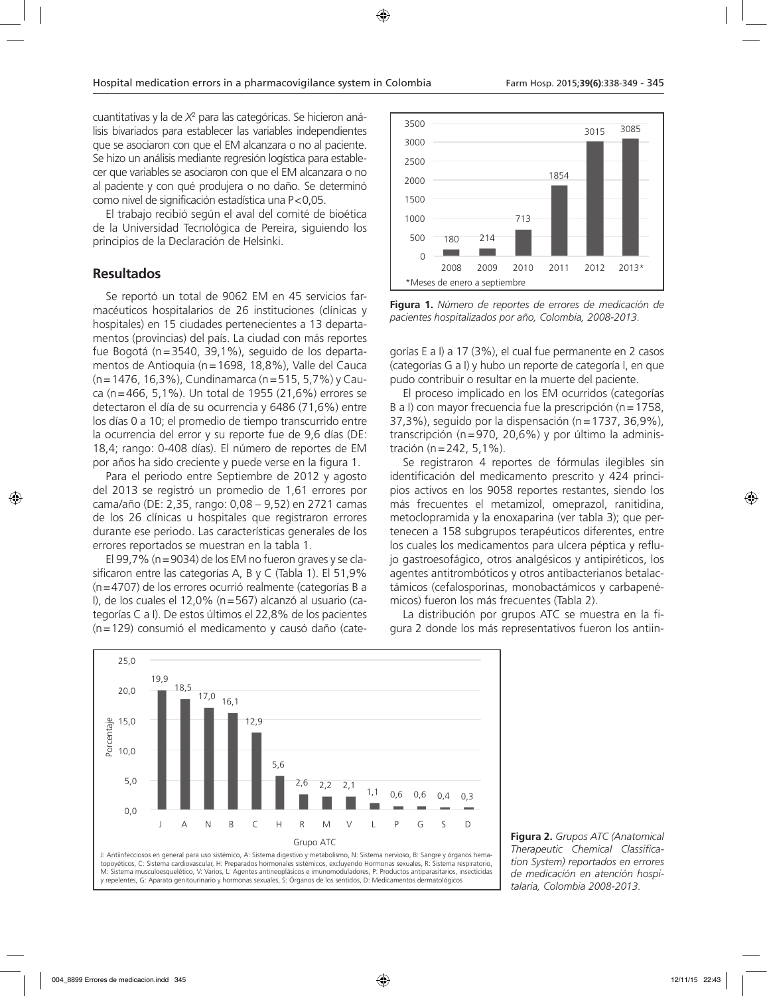cuantitativas y la de *X*<sup>2</sup> para las categóricas. Se hicieron análisis bivariados para establecer las variables independientes que se asociaron con que el EM alcanzara o no al paciente. Se hizo un análisis mediante regresión logística para establecer que variables se asociaron con que el EM alcanzara o no al paciente y con qué produjera o no daño. Se determinó como nivel de significación estadística una P<0,05.

El trabajo recibió según el aval del comité de bioética de la Universidad Tecnológica de Pereira, siguiendo los principios de la Declaración de Helsinki.

### **Resultados**

Se reportó un total de 9062 EM en 45 servicios farmacéuticos hospitalarios de 26 instituciones (clínicas y hospitales) en 15 ciudades pertenecientes a 13 departamentos (provincias) del país. La ciudad con más reportes fue Bogotá (n=3540, 39,1%), seguido de los departamentos de Antioquia (n=1698, 18,8%), Valle del Cauca (n=1476, 16,3%), Cundinamarca (n=515, 5,7%) y Cauca (n=466, 5,1%). Un total de 1955 (21,6%) errores se detectaron el día de su ocurrencia y 6486 (71,6%) entre los días 0 a 10; el promedio de tiempo transcurrido entre la ocurrencia del error y su reporte fue de 9,6 días (DE: 18,4; rango: 0-408 días). El número de reportes de EM por años ha sido creciente y puede verse en la figura 1.

Para el periodo entre Septiembre de 2012 y agosto del 2013 se registró un promedio de 1,61 errores por cama/año (DE: 2,35, rango: 0,08 – 9,52) en 2721 camas de los 26 clínicas u hospitales que registraron errores durante ese periodo. Las características generales de los errores reportados se muestran en la tabla 1.

El 99,7% (n=9034) de los EM no fueron graves y se clasificaron entre las categorías A, B y C (Tabla 1). El 51,9% (n=4707) de los errores ocurrió realmente (categorías B a I), de los cuales el 12,0% (n=567) alcanzó al usuario (categorías C a I). De estos últimos el 22,8% de los pacientes (n=129) consumió el medicamento y causó daño (cate-



**Figura 1.** *Número de reportes de errores de medicación de pacientes hospitalizados por año, Colombia, 2008-2013.*

gorías E a I) a 17 (3%), el cual fue permanente en 2 casos (categorías G a I) y hubo un reporte de categoría I, en que pudo contribuir o resultar en la muerte del paciente.

El proceso implicado en los EM ocurridos (categorías B a I) con mayor frecuencia fue la prescripción (n = 1758, 37,3%), seguido por la dispensación (n=1737, 36,9%), transcripción (n=970, 20,6%) y por último la administración (n=242, 5,1%).

Se registraron 4 reportes de fórmulas ilegibles sin identificación del medicamento prescrito y 424 principios activos en los 9058 reportes restantes, siendo los más frecuentes el metamizol, omeprazol, ranitidina, metoclopramida y la enoxaparina (ver tabla 3); que pertenecen a 158 subgrupos terapéuticos diferentes, entre los cuales los medicamentos para ulcera péptica y reflujo gastroesofágico, otros analgésicos y antipiréticos, los agentes antitrombóticos y otros antibacterianos betalactámicos (cefalosporinas, monobactámicos y carbapenémicos) fueron los más frecuentes (Tabla 2).

La distribución por grupos ATC se muestra en la figura 2 donde los más representativos fueron los antiin-



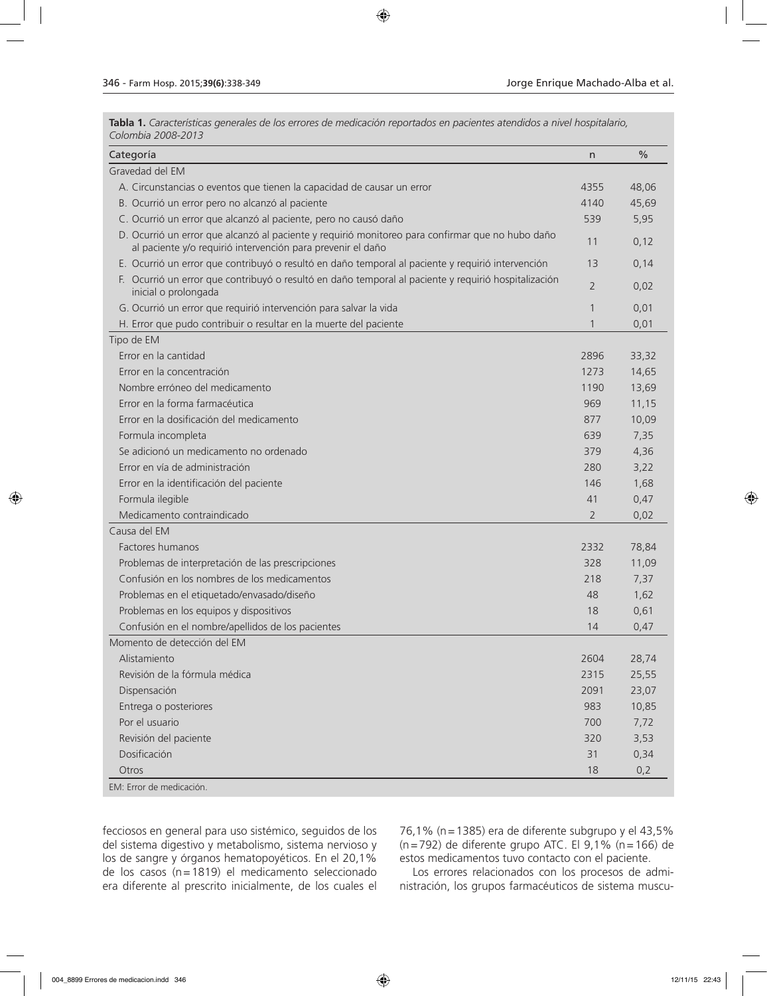**Tabla 1.** *Características generales de los errores de medicación reportados en pacientes atendidos a nivel hospitalario, Colombia 2008-2013*

| Categoría                                                                                                                                                       | n              | $\frac{0}{0}$ |
|-----------------------------------------------------------------------------------------------------------------------------------------------------------------|----------------|---------------|
| Gravedad del EM                                                                                                                                                 |                |               |
| A. Circunstancias o eventos que tienen la capacidad de causar un error                                                                                          | 4355           | 48,06         |
| B. Ocurrió un error pero no alcanzó al paciente                                                                                                                 | 4140           | 45,69         |
| C. Ocurrió un error que alcanzó al paciente, pero no causó daño                                                                                                 | 539            | 5,95          |
| D. Ocurrió un error que alcanzó al paciente y requirió monitoreo para confirmar que no hubo daño<br>al paciente y/o requirió intervención para prevenir el daño | 11             | 0,12          |
| E. Ocurrió un error que contribuyó o resultó en daño temporal al paciente y requirió intervención                                                               | 13             | 0,14          |
| F. Ocurrió un error que contribuyó o resultó en daño temporal al paciente y requirió hospitalización<br>inicial o prolongada                                    | $\overline{2}$ | 0,02          |
| G. Ocurrió un error que requirió intervención para salvar la vida                                                                                               | $\mathbf{1}$   | 0,01          |
| H. Error que pudo contribuir o resultar en la muerte del paciente                                                                                               | 1              | 0,01          |
| Tipo de EM                                                                                                                                                      |                |               |
| Error en la cantidad                                                                                                                                            | 2896           | 33,32         |
| Error en la concentración                                                                                                                                       | 1273           | 14,65         |
| Nombre erróneo del medicamento                                                                                                                                  | 1190           | 13,69         |
| Error en la forma farmacéutica                                                                                                                                  | 969            | 11,15         |
| Error en la dosificación del medicamento                                                                                                                        | 877            | 10,09         |
| Formula incompleta                                                                                                                                              | 639            | 7,35          |
| Se adicionó un medicamento no ordenado                                                                                                                          | 379            | 4,36          |
| Error en vía de administración                                                                                                                                  | 280            | 3,22          |
| Error en la identificación del paciente                                                                                                                         | 146            | 1,68          |
| Formula ilegible                                                                                                                                                | 41             | 0,47          |
| Medicamento contraindicado                                                                                                                                      | $\overline{2}$ | 0,02          |
| Causa del EM                                                                                                                                                    |                |               |
| Factores humanos                                                                                                                                                | 2332           | 78,84         |
| Problemas de interpretación de las prescripciones                                                                                                               | 328            | 11,09         |
| Confusión en los nombres de los medicamentos                                                                                                                    | 218            | 7,37          |
| Problemas en el etiquetado/envasado/diseño                                                                                                                      | 48             | 1,62          |
| Problemas en los equipos y dispositivos                                                                                                                         | 18             | 0,61          |
| Confusión en el nombre/apellidos de los pacientes                                                                                                               | 14             | 0,47          |
| Momento de detección del EM                                                                                                                                     |                |               |
| Alistamiento                                                                                                                                                    | 2604           | 28,74         |
| Revisión de la fórmula médica                                                                                                                                   | 2315           | 25,55         |
| Dispensación                                                                                                                                                    | 2091           | 23,07         |
| Entrega o posteriores                                                                                                                                           | 983            | 10,85         |
| Por el usuario                                                                                                                                                  | 700            | 7,72          |
| Revisión del paciente                                                                                                                                           | 320            | 3,53          |
| Dosificación                                                                                                                                                    | 31             | 0,34          |
| Otros                                                                                                                                                           | 18             | 0,2           |
| EM: Error de medicación.                                                                                                                                        |                |               |

fecciosos en general para uso sistémico, seguidos de los del sistema digestivo y metabolismo, sistema nervioso y los de sangre y órganos hematopoyéticos. En el 20,1% de los casos (n=1819) el medicamento seleccionado era diferente al prescrito inicialmente, de los cuales el

76,1% (n=1385) era de diferente subgrupo y el 43,5% (n=792) de diferente grupo ATC. El 9,1% (n=166) de estos medicamentos tuvo contacto con el paciente.

Los errores relacionados con los procesos de administración, los grupos farmacéuticos de sistema muscu-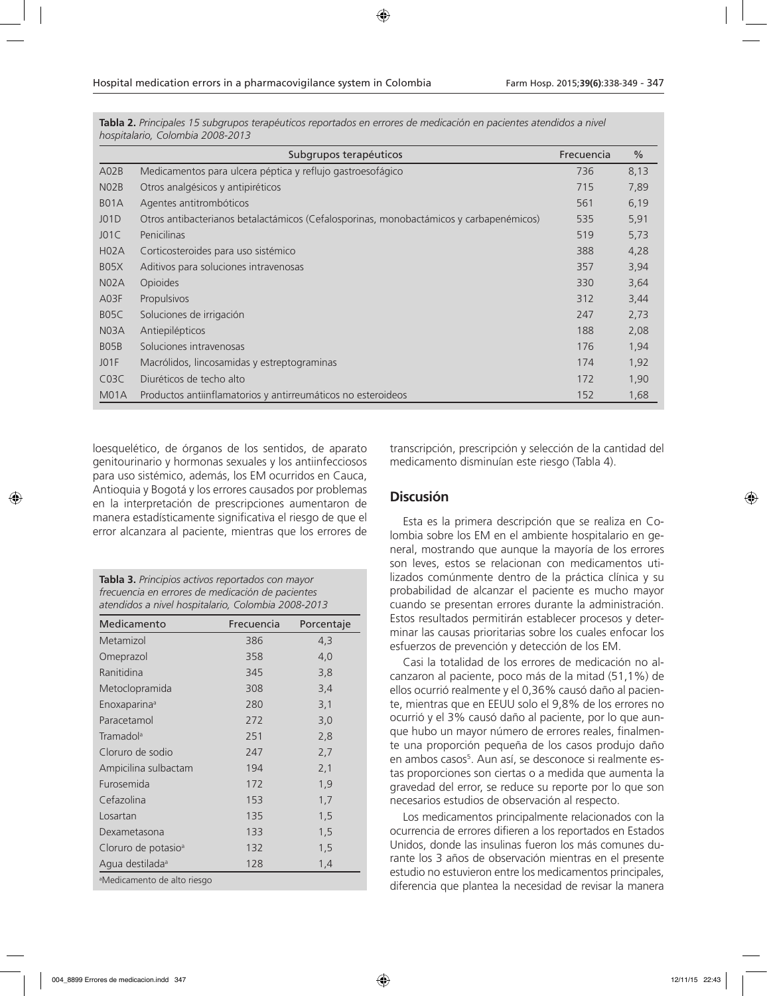|                   | Subgrupos terapéuticos                                                                 | Frecuencia | $\frac{0}{0}$ |
|-------------------|----------------------------------------------------------------------------------------|------------|---------------|
| A02B              | Medicamentos para ulcera péptica y reflujo gastroesofágico                             | 736        | 8,13          |
| N <sub>02</sub> B | Otros analgésicos y antipiréticos                                                      | 715        | 7,89          |
| B <sub>0</sub> 1A | Agentes antitrombóticos                                                                | 561        | 6,19          |
| JO1D              | Otros antibacterianos betalactámicos (Cefalosporinas, monobactámicos y carbapenémicos) | 535        | 5,91          |
| J01C              | Penicilinas                                                                            | 519        | 5,73          |
| H02A              | Corticosteroides para uso sistémico                                                    | 388        | 4,28          |
| B <sub>05</sub> X | Aditivos para soluciones intravenosas                                                  | 357        | 3,94          |
| N <sub>0</sub> 2A | Opioides                                                                               | 330        | 3,64          |
| A03F              | Propulsivos                                                                            | 312        | 3,44          |
| B <sub>05</sub> C | Soluciones de irrigación                                                               | 247        | 2,73          |
| N03A              | Antiepilépticos                                                                        | 188        | 2,08          |
| BO <sub>5</sub> B | Soluciones intravenosas                                                                | 176        | 1,94          |
| JO1F              | Macrólidos, lincosamidas y estreptograminas                                            | 174        | 1,92          |
| C03C              | Diuréticos de techo alto                                                               | 172        | 1,90          |
| M <sub>0</sub> 1A | Productos antiinflamatorios y antirreumáticos no esteroideos                           | 152        | 1,68          |

**Tabla 2.** *Principales 15 subgrupos terapéuticos reportados en errores de medicación en pacientes atendidos a nivel hospitalario, Colombia 2008-2013*

loesquelético, de órganos de los sentidos, de aparato genitourinario y hormonas sexuales y los antiinfecciosos para uso sistémico, además, los EM ocurridos en Cauca, Antioquia y Bogotá y los errores causados por problemas en la interpretación de prescripciones aumentaron de manera estadísticamente significativa el riesgo de que el error alcanzara al paciente, mientras que los errores de

**Tabla 3.** *Principios activos reportados con mayor frecuencia en errores de medicación de pacientes atendidos a nivel hospitalario, Colombia 2008-2013*

| Medicamento                             | Frecuencia | Porcentaje |  |  |  |
|-----------------------------------------|------------|------------|--|--|--|
| Metamizol                               | 386        | 4,3        |  |  |  |
| Omeprazol                               | 358        | 4,0        |  |  |  |
| Ranitidina                              | 345        | 3,8        |  |  |  |
| Metoclopramida                          | 308        | 3,4        |  |  |  |
| Enoxaparina <sup>a</sup>                | 280        | 3,1        |  |  |  |
| Paracetamol                             | 272        | 3,0        |  |  |  |
| Tramadol <sup>a</sup>                   | 251        | 2,8        |  |  |  |
| Cloruro de sodio                        | 247        | 2,7        |  |  |  |
| Ampicilina sulbactam                    | 194        | 2,1        |  |  |  |
| Furosemida                              | 172        | 1,9        |  |  |  |
| Cefazolina                              | 153        | 1,7        |  |  |  |
| Losartan                                | 135        | 1,5        |  |  |  |
| Dexametasona                            | 133        | 1,5        |  |  |  |
| Cloruro de potasio <sup>a</sup>         | 132        | 1,5        |  |  |  |
| Agua destilada <sup>a</sup>             | 128        | 1,4        |  |  |  |
| <sup>a</sup> Medicamento de alto riesgo |            |            |  |  |  |

transcripción, prescripción y selección de la cantidad del medicamento disminuían este riesgo (Tabla 4).

### **Discusión**

Esta es la primera descripción que se realiza en Colombia sobre los EM en el ambiente hospitalario en general, mostrando que aunque la mayoría de los errores son leves, estos se relacionan con medicamentos utilizados comúnmente dentro de la práctica clínica y su probabilidad de alcanzar el paciente es mucho mayor cuando se presentan errores durante la administración. Estos resultados permitirán establecer procesos y determinar las causas prioritarias sobre los cuales enfocar los esfuerzos de prevención y detección de los EM.

Casi la totalidad de los errores de medicación no alcanzaron al paciente, poco más de la mitad (51,1%) de ellos ocurrió realmente y el 0,36% causó daño al paciente, mientras que en EEUU solo el 9,8% de los errores no ocurrió y el 3% causó daño al paciente, por lo que aunque hubo un mayor número de errores reales, finalmente una proporción pequeña de los casos produjo daño en ambos casos<sup>5</sup>. Aun así, se desconoce si realmente estas proporciones son ciertas o a medida que aumenta la gravedad del error, se reduce su reporte por lo que son necesarios estudios de observación al respecto.

Los medicamentos principalmente relacionados con la ocurrencia de errores difieren a los reportados en Estados Unidos, donde las insulinas fueron los más comunes durante los 3 años de observación mientras en el presente estudio no estuvieron entre los medicamentos principales, diferencia que plantea la necesidad de revisar la manera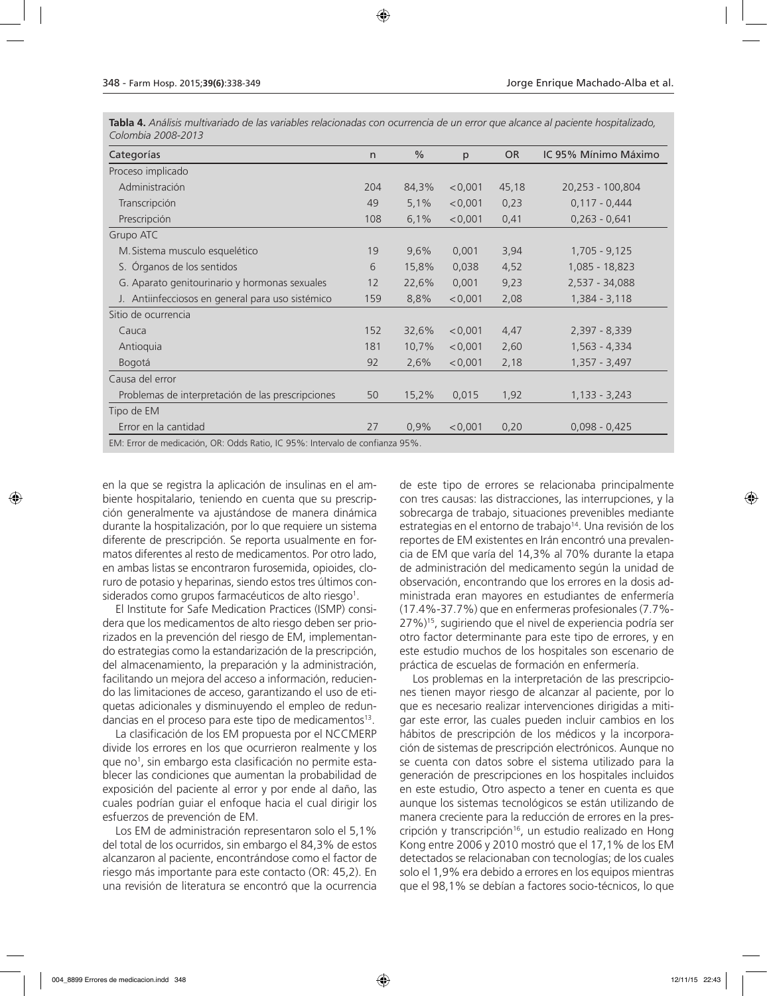| Categorías                                                                   | $\mathsf{n}$ | $\%$  | p       | <b>OR</b> | IC 95% Mínimo Máximo |  |
|------------------------------------------------------------------------------|--------------|-------|---------|-----------|----------------------|--|
| Proceso implicado                                                            |              |       |         |           |                      |  |
| Administración                                                               | 204          | 84,3% | < 0.001 | 45,18     | 20,253 - 100,804     |  |
| Transcripción                                                                | 49           | 5,1%  | < 0,001 | 0,23      | $0,117 - 0,444$      |  |
| Prescripción                                                                 | 108          | 6,1%  | < 0,001 | 0,41      | $0,263 - 0,641$      |  |
| Grupo ATC                                                                    |              |       |         |           |                      |  |
| M. Sistema musculo esquelético                                               | 19           | 9,6%  | 0,001   | 3,94      | 1,705 - 9,125        |  |
| S. Órganos de los sentidos                                                   | 6            | 15,8% | 0,038   | 4,52      | 1,085 - 18,823       |  |
| G. Aparato genitourinario y hormonas sexuales                                | 12           | 22,6% | 0,001   | 9,23      | 2,537 - 34,088       |  |
| J. Antiinfecciosos en general para uso sistémico                             | 159          | 8,8%  | < 0,001 | 2,08      | 1,384 - 3,118        |  |
| Sitio de ocurrencia                                                          |              |       |         |           |                      |  |
| Cauca                                                                        | 152          | 32,6% | < 0,001 | 4,47      | 2,397 - 8,339        |  |
| Antioquia                                                                    | 181          | 10,7% | < 0,001 | 2,60      | $1,563 - 4,334$      |  |
| Bogotá                                                                       | 92           | 2,6%  | < 0,001 | 2,18      | 1,357 - 3,497        |  |
| Causa del error                                                              |              |       |         |           |                      |  |
| Problemas de interpretación de las prescripciones                            | 50           | 15,2% | 0,015   | 1,92      | $1,133 - 3,243$      |  |
| Tipo de EM                                                                   |              |       |         |           |                      |  |
| Error en la cantidad                                                         | 27           | 0.9%  | < 0.001 | 0,20      | $0.098 - 0.425$      |  |
| EM: Error de medicación, OR: Odds Ratio, IC 95%: Intervalo de confianza 95%. |              |       |         |           |                      |  |

**Tabla 4.** *Análisis multivariado de las variables relacionadas con ocurrencia de un error que alcance al paciente hospitalizado, Colombia 2008-2013*

en la que se registra la aplicación de insulinas en el ambiente hospitalario, teniendo en cuenta que su prescripción generalmente va ajustándose de manera dinámica durante la hospitalización, por lo que requiere un sistema diferente de prescripción. Se reporta usualmente en formatos diferentes al resto de medicamentos. Por otro lado, en ambas listas se encontraron furosemida, opioides, cloruro de potasio y heparinas, siendo estos tres últimos considerados como grupos farmacéuticos de alto riesgo<sup>1</sup>.

El Institute for Safe Medication Practices (ISMP) considera que los medicamentos de alto riesgo deben ser priorizados en la prevención del riesgo de EM, implementando estrategias como la estandarización de la prescripción, del almacenamiento, la preparación y la administración, facilitando un mejora del acceso a información, reduciendo las limitaciones de acceso, garantizando el uso de etiquetas adicionales y disminuyendo el empleo de redundancias en el proceso para este tipo de medicamentos<sup>13</sup>.

La clasificación de los EM propuesta por el NCCMERP divide los errores en los que ocurrieron realmente y los que no<sup>1</sup>, sin embargo esta clasificación no permite establecer las condiciones que aumentan la probabilidad de exposición del paciente al error y por ende al daño, las cuales podrían guiar el enfoque hacia el cual dirigir los esfuerzos de prevención de EM.

Los EM de administración representaron solo el 5,1% del total de los ocurridos, sin embargo el 84,3% de estos alcanzaron al paciente, encontrándose como el factor de riesgo más importante para este contacto (OR: 45,2). En una revisión de literatura se encontró que la ocurrencia

de este tipo de errores se relacionaba principalmente con tres causas: las distracciones, las interrupciones, y la sobrecarga de trabajo, situaciones prevenibles mediante estrategias en el entorno de trabajo<sup>14</sup>. Una revisión de los reportes de EM existentes en Irán encontró una prevalencia de EM que varía del 14,3% al 70% durante la etapa de administración del medicamento según la unidad de observación, encontrando que los errores en la dosis administrada eran mayores en estudiantes de enfermería (17.4%-37.7%) que en enfermeras profesionales (7.7%- 27%)15 , sugiriendo que el nivel de experiencia podría ser otro factor determinante para este tipo de errores, y en este estudio muchos de los hospitales son escenario de práctica de escuelas de formación en enfermería.

Los problemas en la interpretación de las prescripciones tienen mayor riesgo de alcanzar al paciente, por lo que es necesario realizar intervenciones dirigidas a mitigar este error, las cuales pueden incluir cambios en los hábitos de prescripción de los médicos y la incorporación de sistemas de prescripción electrónicos. Aunque no se cuenta con datos sobre el sistema utilizado para la generación de prescripciones en los hospitales incluidos en este estudio, Otro aspecto a tener en cuenta es que aunque los sistemas tecnológicos se están utilizando de manera creciente para la reducción de errores en la prescripción y transcripción<sup>16</sup>, un estudio realizado en Hong Kong entre 2006 y 2010 mostró que el 17,1% de los EM detectados se relacionaban con tecnologías; de los cuales solo el 1,9% era debido a errores en los equipos mientras que el 98,1% se debían a factores socio-técnicos, lo que